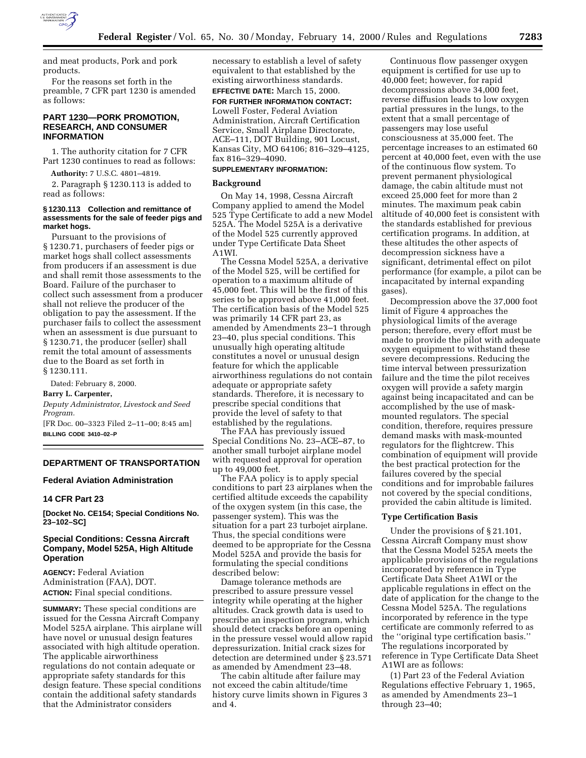

and meat products, Pork and pork products.

For the reasons set forth in the preamble, 7 CFR part 1230 is amended as follows:

## **PART 1230—PORK PROMOTION, RESEARCH, AND CONSUMER INFORMATION**

1. The authority citation for 7 CFR Part 1230 continues to read as follows:

**Authority:** 7 U.S.C. 4801–4819.

2. Paragraph § 1230.113 is added to read as follows:

### **§ 1230.113 Collection and remittance of assessments for the sale of feeder pigs and market hogs.**

Pursuant to the provisions of § 1230.71, purchasers of feeder pigs or market hogs shall collect assessments from producers if an assessment is due and shall remit those assessments to the Board. Failure of the purchaser to collect such assessment from a producer shall not relieve the producer of the obligation to pay the assessment. If the purchaser fails to collect the assessment when an assessment is due pursuant to § 1230.71, the producer (seller) shall remit the total amount of assessments due to the Board as set forth in § 1230.111.

Dated: February 8, 2000.

#### **Barry L. Carpenter,**

*Deputy Administrator, Livestock and Seed Program.*

[FR Doc. 00–3323 Filed 2–11–00; 8:45 am] **BILLING CODE 3410–02–P**

# **DEPARTMENT OF TRANSPORTATION**

**Federal Aviation Administration**

### **14 CFR Part 23**

**[Docket No. CE154; Special Conditions No. 23–102–SC]**

# **Special Conditions: Cessna Aircraft Company, Model 525A, High Altitude Operation**

**AGENCY:** Federal Aviation Administration (FAA), DOT. **ACTION:** Final special conditions.

**SUMMARY:** These special conditions are issued for the Cessna Aircraft Company Model 525A airplane. This airplane will have novel or unusual design features associated with high altitude operation. The applicable airworthiness regulations do not contain adequate or appropriate safety standards for this design feature. These special conditions contain the additional safety standards that the Administrator considers

necessary to establish a level of safety equivalent to that established by the existing airworthiness standards. **EFFECTIVE DATE:** March 15, 2000.

**FOR FURTHER INFORMATION CONTACT:** Lowell Foster, Federal Aviation Administration, Aircraft Certification Service, Small Airplane Directorate, ACE–111, DOT Building, 901 Locust, Kansas City, MO 64106; 816–329–4125, fax 816–329–4090.

# **SUPPLEMENTARY INFORMATION:**

#### **Background**

On May 14, 1998, Cessna Aircraft Company applied to amend the Model 525 Type Certificate to add a new Model 525A. The Model 525A is a derivative of the Model 525 currently approved under Type Certificate Data Sheet A1WI.

The Cessna Model 525A, a derivative of the Model 525, will be certified for operation to a maximum altitude of 45,000 feet. This will be the first of this series to be approved above 41,000 feet. The certification basis of the Model 525 was primarily 14 CFR part 23, as amended by Amendments 23–1 through 23–40, plus special conditions. This unusually high operating altitude constitutes a novel or unusual design feature for which the applicable airworthiness regulations do not contain adequate or appropriate safety standards. Therefore, it is necessary to prescribe special conditions that provide the level of safety to that established by the regulations.

The FAA has previously issued Special Conditions No. 23–ACE–87, to another small turbojet airplane model with requested approval for operation up to 49,000 feet.

The FAA policy is to apply special conditions to part 23 airplanes when the certified altitude exceeds the capability of the oxygen system (in this case, the passenger system). This was the situation for a part 23 turbojet airplane. Thus, the special conditions were deemed to be appropriate for the Cessna Model 525A and provide the basis for formulating the special conditions described below:

Damage tolerance methods are prescribed to assure pressure vessel integrity while operating at the higher altitudes. Crack growth data is used to prescribe an inspection program, which should detect cracks before an opening in the pressure vessel would allow rapid depressurization. Initial crack sizes for detection are determined under § 23.571 as amended by Amendment 23–48.

The cabin altitude after failure may not exceed the cabin altitude/time history curve limits shown in Figures 3 and 4.

Continuous flow passenger oxygen equipment is certified for use up to 40,000 feet; however, for rapid decompressions above 34,000 feet, reverse diffusion leads to low oxygen partial pressures in the lungs, to the extent that a small percentage of passengers may lose useful consciousness at 35,000 feet. The percentage increases to an estimated 60 percent at 40,000 feet, even with the use of the continuous flow system. To prevent permanent physiological damage, the cabin altitude must not exceed 25,000 feet for more than 2 minutes. The maximum peak cabin altitude of 40,000 feet is consistent with the standards established for previous certification programs. In addition, at these altitudes the other aspects of decompression sickness have a significant, detrimental effect on pilot performance (for example, a pilot can be incapacitated by internal expanding gases).

Decompression above the 37,000 foot limit of Figure 4 approaches the physiological limits of the average person; therefore, every effort must be made to provide the pilot with adequate oxygen equipment to withstand these severe decompressions. Reducing the time interval between pressurization failure and the time the pilot receives oxygen will provide a safety margin against being incapacitated and can be accomplished by the use of maskmounted regulators. The special condition, therefore, requires pressure demand masks with mask-mounted regulators for the flightcrew. This combination of equipment will provide the best practical protection for the failures covered by the special conditions and for improbable failures not covered by the special conditions, provided the cabin altitude is limited.

#### **Type Certification Basis**

Under the provisions of § 21.101, Cessna Aircraft Company must show that the Cessna Model 525A meets the applicable provisions of the regulations incorporated by reference in Type Certificate Data Sheet A1WI or the applicable regulations in effect on the date of application for the change to the Cessna Model 525A. The regulations incorporated by reference in the type certificate are commonly referred to as the ''original type certification basis.'' The regulations incorporated by reference in Type Certificate Data Sheet A1WI are as follows:

(1) Part 23 of the Federal Aviation Regulations effective February 1, 1965, as amended by Amendments 23–1 through 23–40;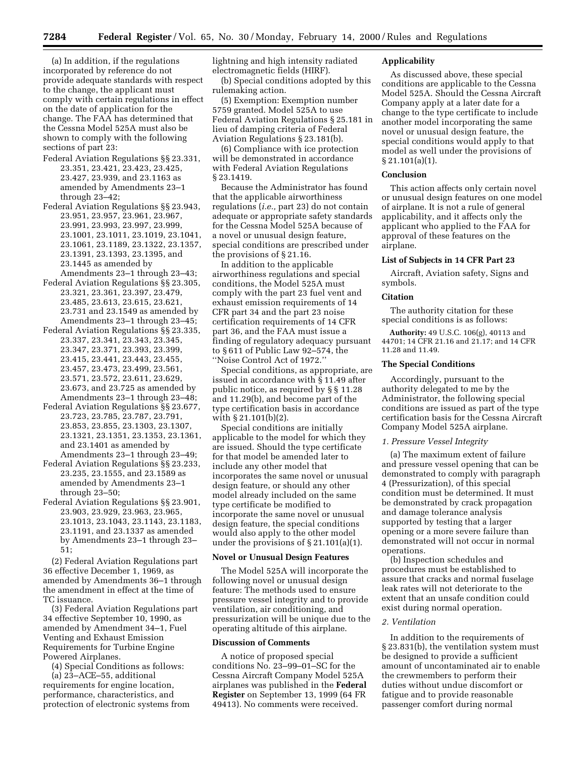(a) In addition, if the regulations incorporated by reference do not provide adequate standards with respect to the change, the applicant must comply with certain regulations in effect on the date of application for the change. The FAA has determined that the Cessna Model 525A must also be shown to comply with the following sections of part 23:

- Federal Aviation Regulations §§ 23.331, 23.351, 23.421, 23.423, 23.425, 23.427, 23.939, and 23.1163 as amended by Amendments 23–1 through 23–42;
- Federal Aviation Regulations §§ 23.943, 23.951, 23.957, 23.961, 23.967, 23.991, 23.993, 23.997, 23.999, 23.1001, 23.1011, 23.1019, 23.1041, 23.1061, 23.1189, 23.1322, 23.1357, 23.1391, 23.1393, 23.1395, and 23.1445 as amended by

Amendments 23–1 through 23–43; Federal Aviation Regulations §§ 23.305, 23.321, 23.361, 23.397, 23.479, 23.485, 23.613, 23.615, 23.621,

23.731 and 23.1549 as amended by Amendments 23–1 through 23–45; Federal Aviation Regulations §§ 23.335,

- 23.337, 23.341, 23.343, 23.345, 23.347, 23.371, 23.393, 23.399, 23.415, 23.441, 23.443, 23.455, 23.457, 23.473, 23.499, 23.561, 23.571, 23.572, 23.611, 23.629, 23.673, and 23.725 as amended by
- Amendments 23–1 through 23–48; Federal Aviation Regulations §§ 23.677, 23.723, 23.785, 23.787, 23.791, 23.853, 23.855, 23.1303, 23.1307, 23.1321, 23.1351, 23.1353, 23.1361, and 23.1401 as amended by Amendments 23–1 through 23–49;
- Federal Aviation Regulations §§ 23.233, 23.235, 23.1555, and 23.1589 as amended by Amendments 23–1 through 23–50;
- Federal Aviation Regulations §§ 23.901, 23.903, 23.929, 23.963, 23.965, 23.1013, 23.1043, 23.1143, 23.1183, 23.1191, and 23.1337 as amended by Amendments 23–1 through 23– 51;

(2) Federal Aviation Regulations part 36 effective December 1, 1969, as amended by Amendments 36–1 through the amendment in effect at the time of TC issuance.

(3) Federal Aviation Regulations part 34 effective September 10, 1990, as amended by Amendment 34–1, Fuel Venting and Exhaust Emission Requirements for Turbine Engine Powered Airplanes.

(4) Special Conditions as follows:

(a) 23–ACE–55, additional requirements for engine location, performance, characteristics, and protection of electronic systems from lightning and high intensity radiated electromagnetic fields (HIRF).

(b) Special conditions adopted by this rulemaking action.

(5) Exemption: Exemption number 5759 granted. Model 525A to use Federal Aviation Regulations § 25.181 in lieu of damping criteria of Federal Aviation Regulations § 23.181(b).

(6) Compliance with ice protection will be demonstrated in accordance with Federal Aviation Regulations § 23.1419.

Because the Administrator has found that the applicable airworthiness regulations (*i.e.,* part 23) do not contain adequate or appropriate safety standards for the Cessna Model 525A because of a novel or unusual design feature, special conditions are prescribed under the provisions of § 21.16.

In addition to the applicable airworthiness regulations and special conditions, the Model 525A must comply with the part 23 fuel vent and exhaust emission requirements of 14 CFR part 34 and the part 23 noise certification requirements of 14 CFR part 36, and the FAA must issue a finding of regulatory adequacy pursuant to § 611 of Public Law 92–574, the ''Noise Control Act of 1972.''

Special conditions, as appropriate, are issued in accordance with § 11.49 after public notice, as required by § § 11.28 and 11.29(b), and become part of the type certification basis in accordance with § 21.101(b)(2).

Special conditions are initially applicable to the model for which they are issued. Should the type certificate for that model be amended later to include any other model that incorporates the same novel or unusual design feature, or should any other model already included on the same type certificate be modified to incorporate the same novel or unusual design feature, the special conditions would also apply to the other model under the provisions of  $\S 21.101(a)(1)$ .

### **Novel or Unusual Design Features**

The Model 525A will incorporate the following novel or unusual design feature: The methods used to ensure pressure vessel integrity and to provide ventilation, air conditioning, and pressurization will be unique due to the operating altitude of this airplane.

## **Discussion of Comments**

A notice of proposed special conditions No. 23–99–01–SC for the Cessna Aircraft Company Model 525A airplanes was published in the **Federal Register** on September 13, 1999 (64 FR 49413). No comments were received.

### **Applicability**

As discussed above, these special conditions are applicable to the Cessna Model 525A. Should the Cessna Aircraft Company apply at a later date for a change to the type certificate to include another model incorporating the same novel or unusual design feature, the special conditions would apply to that model as well under the provisions of § 21.101(a)(1).

### **Conclusion**

This action affects only certain novel or unusual design features on one model of airplane. It is not a rule of general applicability, and it affects only the applicant who applied to the FAA for approval of these features on the airplane.

### **List of Subjects in 14 CFR Part 23**

Aircraft, Aviation safety, Signs and symbols.

#### **Citation**

The authority citation for these special conditions is as follows:

**Authority:** 49 U.S.C. 106(g), 40113 and 44701; 14 CFR 21.16 and 21.17; and 14 CFR 11.28 and 11.49.

### **The Special Conditions**

Accordingly, pursuant to the authority delegated to me by the Administrator, the following special conditions are issued as part of the type certification basis for the Cessna Aircraft Company Model 525A airplane.

## *1. Pressure Vessel Integrity*

(a) The maximum extent of failure and pressure vessel opening that can be demonstrated to comply with paragraph 4 (Pressurization), of this special condition must be determined. It must be demonstrated by crack propagation and damage tolerance analysis supported by testing that a larger opening or a more severe failure than demonstrated will not occur in normal operations.

(b) Inspection schedules and procedures must be established to assure that cracks and normal fuselage leak rates will not deteriorate to the extent that an unsafe condition could exist during normal operation.

### *2. Ventilation*

In addition to the requirements of § 23.831(b), the ventilation system must be designed to provide a sufficient amount of uncontaminated air to enable the crewmembers to perform their duties without undue discomfort or fatigue and to provide reasonable passenger comfort during normal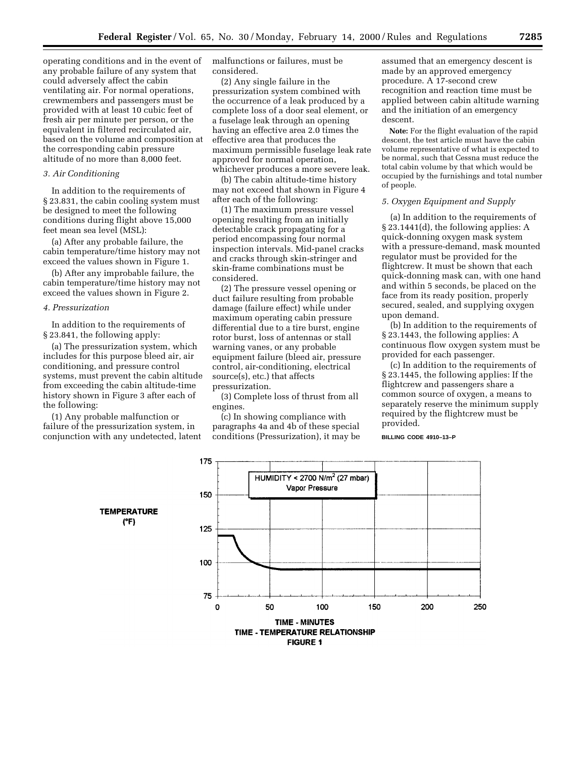operating conditions and in the event of any probable failure of any system that could adversely affect the cabin ventilating air. For normal operations, crewmembers and passengers must be provided with at least 10 cubic feet of fresh air per minute per person, or the equivalent in filtered recirculated air, based on the volume and composition at the corresponding cabin pressure altitude of no more than 8,000 feet.

# *3. Air Conditioning*

In addition to the requirements of § 23.831, the cabin cooling system must be designed to meet the following conditions during flight above 15,000 feet mean sea level (MSL):

(a) After any probable failure, the cabin temperature/time history may not exceed the values shown in Figure 1.

(b) After any improbable failure, the cabin temperature/time history may not exceed the values shown in Figure 2.

#### *4. Pressurization*

In addition to the requirements of § 23.841, the following apply:

(a) The pressurization system, which includes for this purpose bleed air, air conditioning, and pressure control systems, must prevent the cabin altitude from exceeding the cabin altitude-time history shown in Figure 3 after each of the following:

(1) Any probable malfunction or failure of the pressurization system, in conjunction with any undetected, latent malfunctions or failures, must be considered.

(2) Any single failure in the pressurization system combined with the occurrence of a leak produced by a complete loss of a door seal element, or a fuselage leak through an opening having an effective area 2.0 times the effective area that produces the maximum permissible fuselage leak rate approved for normal operation, whichever produces a more severe leak.

(b) The cabin altitude-time history may not exceed that shown in Figure 4 after each of the following:

(1) The maximum pressure vessel opening resulting from an initially detectable crack propagating for a period encompassing four normal inspection intervals. Mid-panel cracks and cracks through skin-stringer and skin-frame combinations must be considered.

(2) The pressure vessel opening or duct failure resulting from probable damage (failure effect) while under maximum operating cabin pressure differential due to a tire burst, engine rotor burst, loss of antennas or stall warning vanes, or any probable equipment failure (bleed air, pressure control, air-conditioning, electrical source(s), etc.) that affects pressurization.

(3) Complete loss of thrust from all engines.

(c) In showing compliance with paragraphs 4a and 4b of these special conditions (Pressurization), it may be

assumed that an emergency descent is made by an approved emergency procedure. A 17-second crew recognition and reaction time must be applied between cabin altitude warning and the initiation of an emergency descent.

**Note:** For the flight evaluation of the rapid descent, the test article must have the cabin volume representative of what is expected to be normal, such that Cessna must reduce the total cabin volume by that which would be occupied by the furnishings and total number of people.

## *5. Oxygen Equipment and Supply*

(a) In addition to the requirements of § 23.1441(d), the following applies: A quick-donning oxygen mask system with a pressure-demand, mask mounted regulator must be provided for the flightcrew. It must be shown that each quick-donning mask can, with one hand and within 5 seconds, be placed on the face from its ready position, properly secured, sealed, and supplying oxygen upon demand.

(b) In addition to the requirements of § 23.1443, the following applies: A continuous flow oxygen system must be provided for each passenger.

(c) In addition to the requirements of § 23.1445, the following applies: If the flightcrew and passengers share a common source of oxygen, a means to separately reserve the minimum supply required by the flightcrew must be provided.

## **BILLING CODE 4910–13–P**

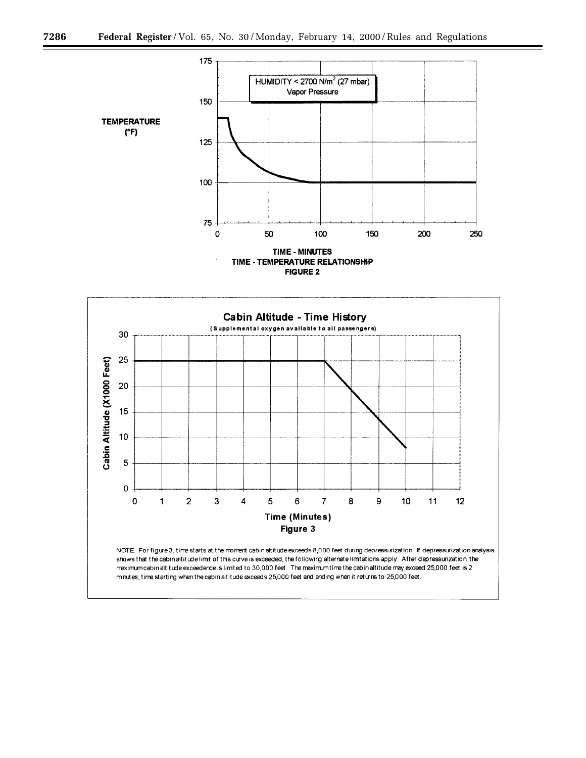

**FIGURE 2** 



shows that the cabin altitude limit of this curve is exceeded, the following alternate limitations apply: After depressurization, the maximum cabin altitude exceedence is limited to 30,000 feet. The maximum time the cabin altitude may exceed 25,000 feet is 2 minutes; time starting when the cabin altitude exceeds 25,000 feet and ending when it returns to 25,000 feet.